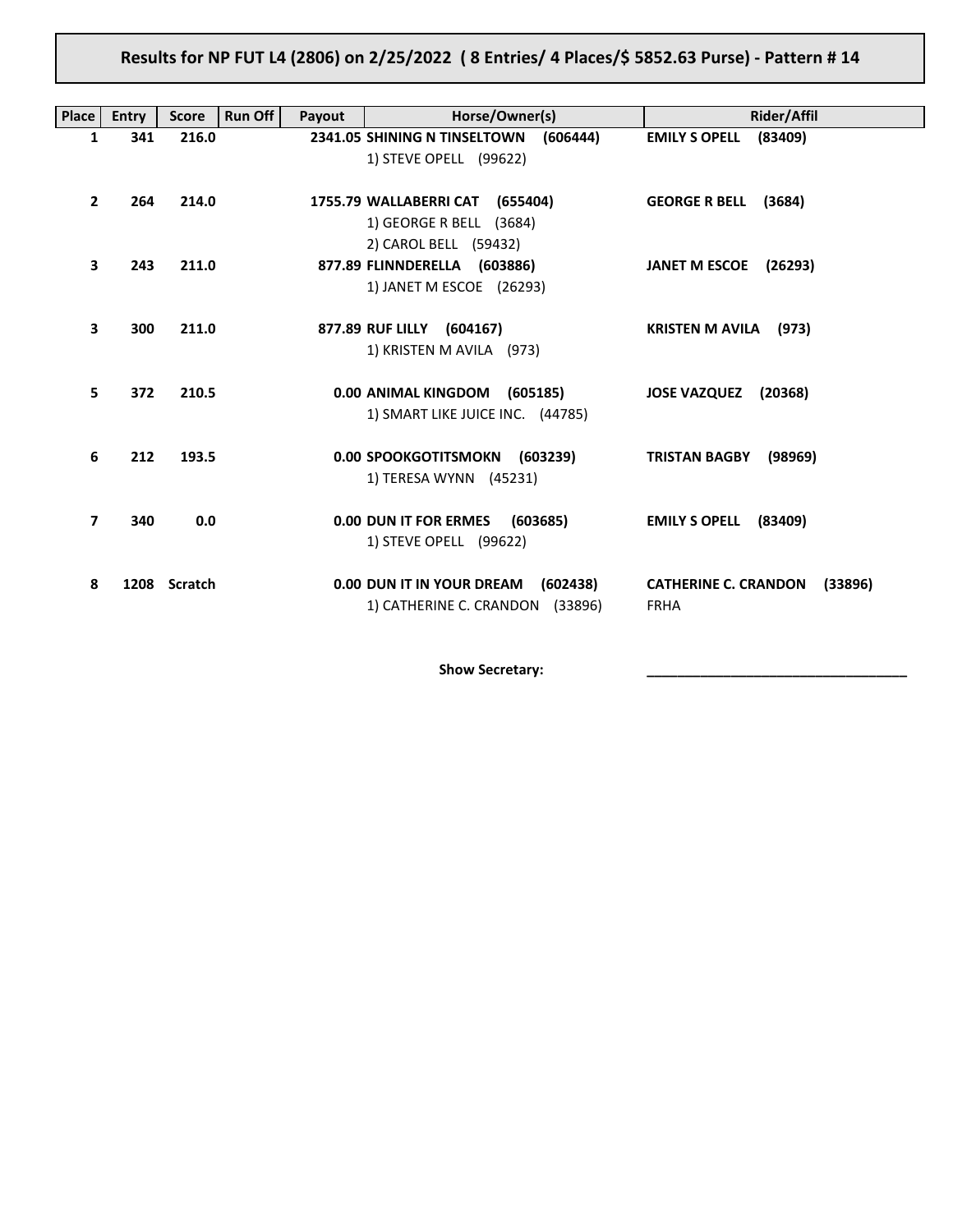# Results for NP FUT L4 (2806) on 2/25/2022 ( 8 Entries/ 4 Places/\$ 5852.63 Purse) - Pattern # 14

| <b>Place</b> | <b>Entry</b> | <b>Score</b> | <b>Run Off</b><br>Payout | Horse/Owner(s)                           | Rider/Affil                            |
|--------------|--------------|--------------|--------------------------|------------------------------------------|----------------------------------------|
| 1            | 341          | 216.0        |                          | 2341.05 SHINING N TINSELTOWN<br>(606444) | <b>EMILY S OPELL</b><br>(83409)        |
|              |              |              |                          | 1) STEVE OPELL (99622)                   |                                        |
| $\mathbf{2}$ | 264          | 214.0        |                          | 1755.79 WALLABERRI CAT (655404)          | <b>GEORGE R BELL</b>                   |
|              |              |              |                          | 1) GEORGE R BELL (3684)                  | (3684)                                 |
|              |              |              |                          | 2) CAROL BELL (59432)                    |                                        |
| 3            | 243          | 211.0        |                          | 877.89 FLINNDERELLA (603886)             | JANET M ESCOE (26293)                  |
|              |              |              |                          | 1) JANET M ESCOE (26293)                 |                                        |
|              |              |              |                          |                                          |                                        |
| 3            | 300          | 211.0        |                          | 877.89 RUF LILLY (604167)                | <b>KRISTEN M AVILA</b> (973)           |
|              |              |              |                          | 1) KRISTEN M AVILA (973)                 |                                        |
|              |              |              |                          |                                          |                                        |
| 5.           | 372          | 210.5        |                          | 0.00 ANIMAL KINGDOM (605185)             | <b>JOSE VAZQUEZ</b><br>(20368)         |
|              |              |              |                          | 1) SMART LIKE JUICE INC. (44785)         |                                        |
| 6            | 212          | 193.5        |                          | 0.00 SPOOKGOTITSMOKN (603239)            | <b>TRISTAN BAGBY</b><br>(98969)        |
|              |              |              |                          | 1) TERESA WYNN (45231)                   |                                        |
|              |              |              |                          |                                          |                                        |
| 7            | 340          | 0.0          |                          | 0.00 DUN IT FOR ERMES<br>(603685)        | <b>EMILY S OPELL</b><br>(83409)        |
|              |              |              |                          | 1) STEVE OPELL (99622)                   |                                        |
|              |              |              |                          |                                          |                                        |
| 8            |              | 1208 Scratch |                          | 0.00 DUN IT IN YOUR DREAM<br>(602438)    | <b>CATHERINE C. CRANDON</b><br>(33896) |
|              |              |              |                          | 1) CATHERINE C. CRANDON (33896)          | <b>FRHA</b>                            |

Show Secretary: